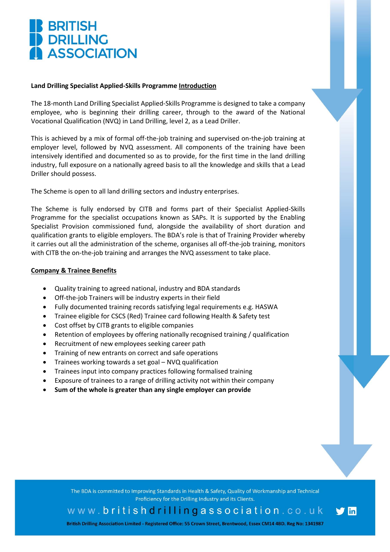# **BRITISH<br>DRILLING ASSOCIATION**

## **Land Drilling Specialist Applied-Skills Programme Introduction**

The 18-month Land Drilling Specialist Applied-Skills Programme is designed to take a company employee, who is beginning their drilling career, through to the award of the National Vocational Qualification (NVQ) in Land Drilling, level 2, as a Lead Driller.

This is achieved by a mix of formal off-the-job training and supervised on-the-job training at employer level, followed by NVQ assessment. All components of the training have been intensively identified and documented so as to provide, for the first time in the land drilling industry, full exposure on a nationally agreed basis to all the knowledge and skills that a Lead Driller should possess.

The Scheme is open to all land drilling sectors and industry enterprises.

The Scheme is fully endorsed by CITB and forms part of their Specialist Applied-Skills Programme for the specialist occupations known as SAPs. It is supported by the Enabling Specialist Provision commissioned fund, alongside the availability of short duration and qualification grants to eligible employers. The BDA's role is that of Training Provider whereby it carries out all the administration of the scheme, organises all off-the-job training, monitors with CITB the on-the-job training and arranges the NVQ assessment to take place.

### **Company & Trainee Benefits**

- Quality training to agreed national, industry and BDA standards
- Off-the-job Trainers will be industry experts in their field
- Fully documented training records satisfying legal requirements e.g. HASWA
- Trainee eligible for CSCS (Red) Trainee card following Health & Safety test
- Cost offset by CITB grants to eligible companies
- Retention of employees by offering nationally recognised training / qualification
- Recruitment of new employees seeking career path
- Training of new entrants on correct and safe operations
- Trainees working towards a set goal NVQ qualification
- Trainees input into company practices following formalised training
- Exposure of trainees to a range of drilling activity not within their company
- **Sum of the whole is greater than any single employer can provide**

The BDA is committed to Improving Standards in Health & Safety, Quality of Workmanship and Technical Proficiency for the Drilling Industry and its Clients.

www.britishdrillingassociation.co.uk

**lin** 

British Drilling Association Limited - Registered Office: 55 Crown Street, Brentwood, Essex CM14 4BD. Reg No: 1341987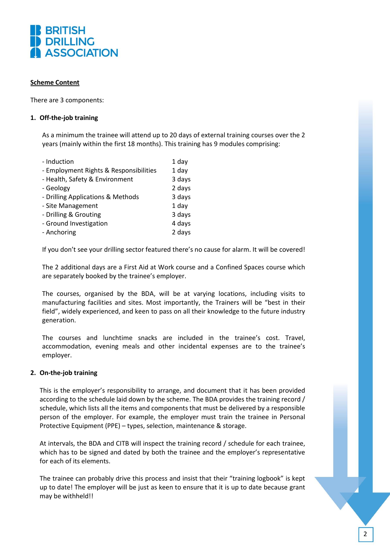

### **Scheme Content**

There are 3 components:

### **1. Off-the-job training**

As a minimum the trainee will attend up to 20 days of external training courses over the 2 years (mainly within the first 18 months). This training has 9 modules comprising:

| - Induction                            | 1 day  |
|----------------------------------------|--------|
| - Employment Rights & Responsibilities | 1 day  |
| - Health, Safety & Environment         | 3 days |
| - Geology                              | 2 days |
| - Drilling Applications & Methods      | 3 days |
| - Site Management                      | 1 day  |
| - Drilling & Grouting                  | 3 days |
| - Ground Investigation                 | 4 days |
| - Anchoring                            | 2 days |
|                                        |        |

If you don't see your drilling sector featured there's no cause for alarm. It will be covered!

The 2 additional days are a First Aid at Work course and a Confined Spaces course which are separately booked by the trainee's employer.

The courses, organised by the BDA, will be at varying locations, including visits to manufacturing facilities and sites. Most importantly, the Trainers will be "best in their field", widely experienced, and keen to pass on all their knowledge to the future industry generation.

The courses and lunchtime snacks are included in the trainee's cost. Travel, accommodation, evening meals and other incidental expenses are to the trainee's employer.

### **2. On-the-job training**

This is the employer's responsibility to arrange, and document that it has been provided according to the schedule laid down by the scheme. The BDA provides the training record / schedule, which lists all the items and components that must be delivered by a responsible person of the employer. For example, the employer must train the trainee in Personal Protective Equipment (PPE) – types, selection, maintenance & storage.

At intervals, the BDA and CITB will inspect the training record / schedule for each trainee, which has to be signed and dated by both the trainee and the employer's representative for each of its elements.

The trainee can probably drive this process and insist that their "training logbook" is kept up to date! The employer will be just as keen to ensure that it is up to date because grant may be withheld!!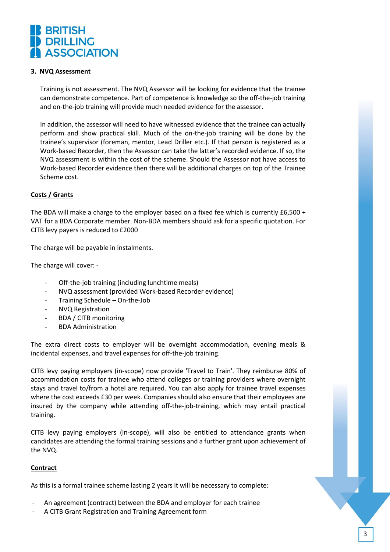

#### **3. NVQ Assessment**

Training is not assessment. The NVQ Assessor will be looking for evidence that the trainee can demonstrate competence. Part of competence is knowledge so the off-the-job training and on-the-job training will provide much needed evidence for the assessor.

In addition, the assessor will need to have witnessed evidence that the trainee can actually perform and show practical skill. Much of the on-the-job training will be done by the trainee's supervisor (foreman, mentor, Lead Driller etc.). If that person is registered as a Work-based Recorder, then the Assessor can take the latter's recorded evidence. If so, the NVQ assessment is within the cost of the scheme. Should the Assessor not have access to Work-based Recorder evidence then there will be additional charges on top of the Trainee Scheme cost.

#### **Costs / Grants**

The BDA will make a charge to the employer based on a fixed fee which is currently £6,500 + VAT for a BDA Corporate member. Non-BDA members should ask for a specific quotation. For CITB levy payers is reduced to £2000

The charge will be payable in instalments.

The charge will cover: -

- Off-the-job training (including lunchtime meals)
- NVQ assessment (provided Work-based Recorder evidence)
- Training Schedule On-the-Job
- NVQ Registration
- BDA / CITB monitoring
- BDA Administration

The extra direct costs to employer will be overnight accommodation, evening meals & incidental expenses, and travel expenses for off-the-job training.

CITB levy paying employers (in-scope) now provide 'Travel to Train'. They reimburse 80% of accommodation costs for trainee who attend colleges or training providers where overnight stays and travel to/from a hotel are required. You can also apply for trainee travel expenses where the cost exceeds £30 per week. Companies should also ensure that their employees are insured by the company while attending off-the-job-training, which may entail practical training.

CITB levy paying employers (in-scope), will also be entitled to attendance grants when candidates are attending the formal training sessions and a further grant upon achievement of the NVQ.

#### **Contract**

As this is a formal trainee scheme lasting 2 years it will be necessary to complete:

- An agreement (contract) between the BDA and employer for each trainee
- A CITB Grant Registration and Training Agreement form